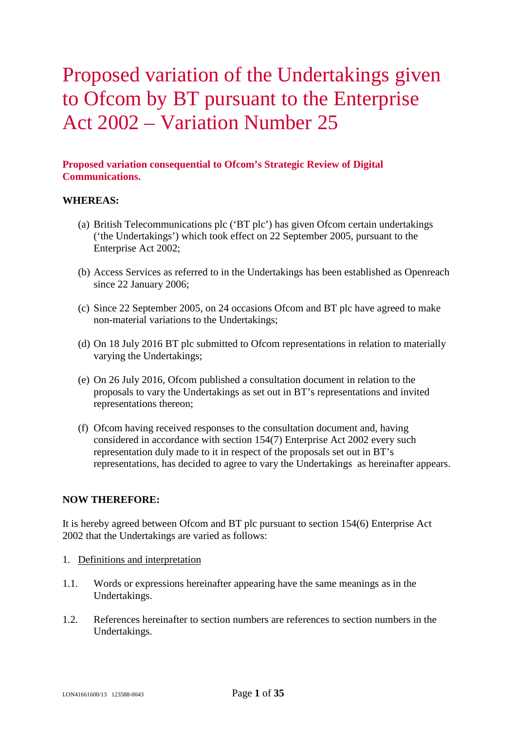# Proposed variation of the Undertakings given to Ofcom by BT pursuant to the Enterprise Act 2002 – Variation Number 25

# **Proposed variation consequential to Ofcom's Strategic Review of Digital Communications.**

## **WHEREAS:**

- (a) British Telecommunications plc ('BT plc') has given Ofcom certain undertakings ('the Undertakings') which took effect on 22 September 2005, pursuant to the Enterprise Act 2002;
- (b) Access Services as referred to in the Undertakings has been established as Openreach since 22 January 2006;
- (c) Since 22 September 2005, on 24 occasions Ofcom and BT plc have agreed to make non-material variations to the Undertakings;
- (d) On 18 July 2016 BT plc submitted to Ofcom representations in relation to materially varying the Undertakings;
- (e) On 26 July 2016, Ofcom published a consultation document in relation to the proposals to vary the Undertakings as set out in BT's representations and invited representations thereon;
- (f) Ofcom having received responses to the consultation document and, having considered in accordance with section 154(7) Enterprise Act 2002 every such representation duly made to it in respect of the proposals set out in BT's representations, has decided to agree to vary the Undertakings as hereinafter appears.

## **NOW THEREFORE:**

It is hereby agreed between Ofcom and BT plc pursuant to section 154(6) Enterprise Act 2002 that the Undertakings are varied as follows:

- 1. Definitions and interpretation
- 1.1. Words or expressions hereinafter appearing have the same meanings as in the Undertakings.
- 1.2. References hereinafter to section numbers are references to section numbers in the Undertakings.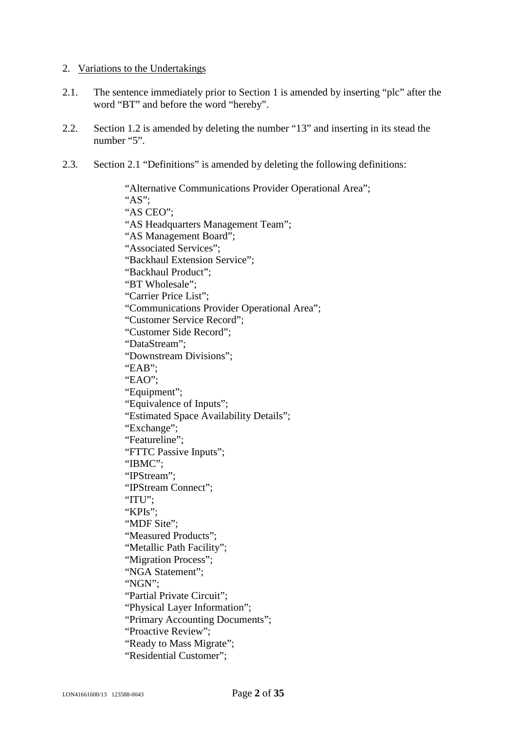## 2. Variations to the Undertakings

- 2.1. The sentence immediately prior to Section 1 is amended by inserting "plc" after the word "BT" and before the word "hereby".
- 2.2. Section 1.2 is amended by deleting the number "13" and inserting in its stead the number "5".
- 2.3. Section 2.1 "Definitions" is amended by deleting the following definitions:

"Alternative Communications Provider Operational Area"; "AS"; "AS CEO"; "AS Headquarters Management Team"; "AS Management Board"; "Associated Services"; "Backhaul Extension Service"; "Backhaul Product"; "BT Wholesale"; "Carrier Price List"; "Communications Provider Operational Area"; "Customer Service Record"; "Customer Side Record"; "DataStream"; "Downstream Divisions"; "EAB"; "EAO"; "Equipment"; "Equivalence of Inputs"; "Estimated Space Availability Details"; "Exchange"; "Featureline"; "FTTC Passive Inputs"; "IBMC"; "IPStream"; "IPStream Connect"; "ITU"; "KPIs": "MDF Site": "Measured Products"; "Metallic Path Facility"; "Migration Process"; "NGA Statement"; "NGN"; "Partial Private Circuit"; "Physical Layer Information"; "Primary Accounting Documents"; "Proactive Review"; "Ready to Mass Migrate"; "Residential Customer";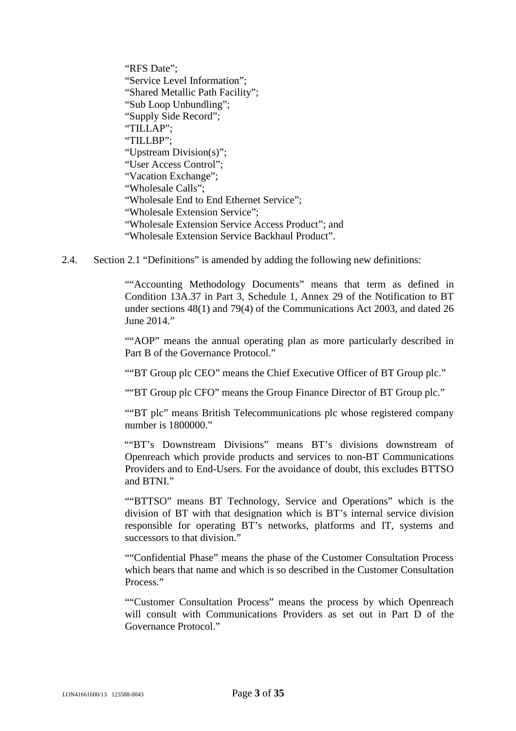"RFS Date"; "Service Level Information"; "Shared Metallic Path Facility"; "Sub Loop Unbundling"; "Supply Side Record"; "TILLAP"; "TILLBP"; "Upstream Division(s)"; "User Access Control"; "Vacation Exchange"; "Wholesale Calls"; "Wholesale End to End Ethernet Service"; "Wholesale Extension Service"; "Wholesale Extension Service Access Product"; and "Wholesale Extension Service Backhaul Product".

2.4. Section 2.1 "Definitions" is amended by adding the following new definitions:

""Accounting Methodology Documents" means that term as defined in Condition 13A.37 in Part 3, Schedule 1, Annex 29 of the Notification to BT under sections 48(1) and 79(4) of the Communications Act 2003, and dated 26 June 2014."

""AOP" means the annual operating plan as more particularly described in Part B of the Governance Protocol."

""BT Group plc CEO" means the Chief Executive Officer of BT Group plc."

""BT Group plc CFO" means the Group Finance Director of BT Group plc."

""BT plc" means British Telecommunications plc whose registered company number is 1800000."

""BT's Downstream Divisions" means BT's divisions downstream of Openreach which provide products and services to non-BT Communications Providers and to End-Users. For the avoidance of doubt, this excludes BTTSO and BTNI."

""BTTSO" means BT Technology, Service and Operations" which is the division of BT with that designation which is BT's internal service division responsible for operating BT's networks, platforms and IT, systems and successors to that division."

""Confidential Phase" means the phase of the Customer Consultation Process which bears that name and which is so described in the Customer Consultation Process."

""Customer Consultation Process" means the process by which Openreach will consult with Communications Providers as set out in Part D of the Governance Protocol."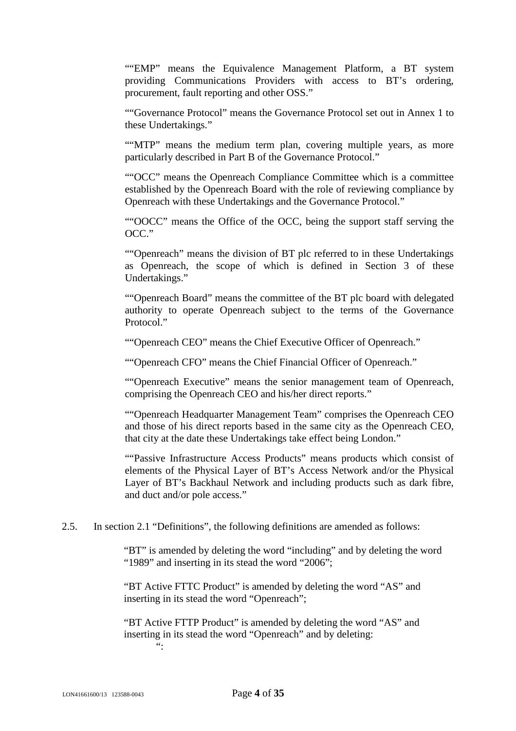""EMP" means the Equivalence Management Platform, a BT system providing Communications Providers with access to BT's ordering, procurement, fault reporting and other OSS."

""Governance Protocol" means the Governance Protocol set out in Annex 1 to these Undertakings."

""MTP" means the medium term plan, covering multiple years, as more particularly described in Part B of the Governance Protocol."

""OCC" means the Openreach Compliance Committee which is a committee established by the Openreach Board with the role of reviewing compliance by Openreach with these Undertakings and the Governance Protocol."

""OOCC" means the Office of the OCC, being the support staff serving the OCC."

""Openreach" means the division of BT plc referred to in these Undertakings as Openreach, the scope of which is defined in Section 3 of these Undertakings."

""Openreach Board" means the committee of the BT plc board with delegated authority to operate Openreach subject to the terms of the Governance Protocol."

""Openreach CEO" means the Chief Executive Officer of Openreach."

""Openreach CFO" means the Chief Financial Officer of Openreach."

""Openreach Executive" means the senior management team of Openreach, comprising the Openreach CEO and his/her direct reports."

""Openreach Headquarter Management Team" comprises the Openreach CEO and those of his direct reports based in the same city as the Openreach CEO, that city at the date these Undertakings take effect being London."

""Passive Infrastructure Access Products" means products which consist of elements of the Physical Layer of BT's Access Network and/or the Physical Layer of BT's Backhaul Network and including products such as dark fibre, and duct and/or pole access."

2.5. In section 2.1 "Definitions", the following definitions are amended as follows:

"BT" is amended by deleting the word "including" and by deleting the word "1989" and inserting in its stead the word "2006";

"BT Active FTTC Product" is amended by deleting the word "AS" and inserting in its stead the word "Openreach";

"BT Active FTTP Product" is amended by deleting the word "AS" and inserting in its stead the word "Openreach" and by deleting:  $\boldsymbol{\omega}$  .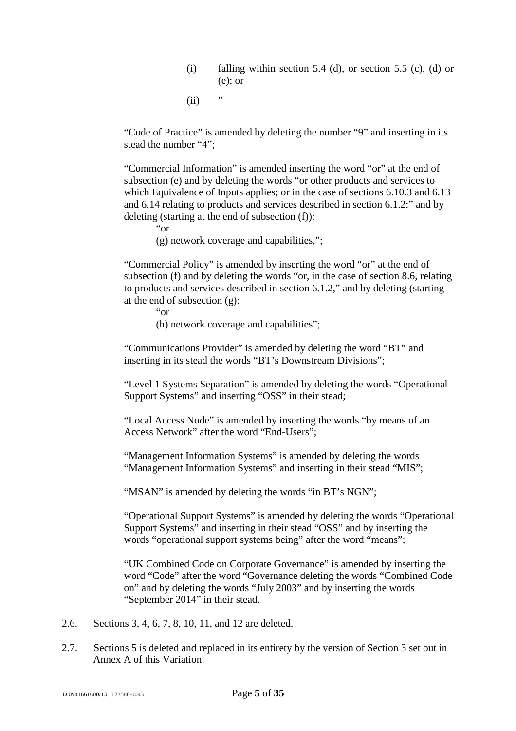- (i) falling within section 5.4 (d), or section 5.5 (c), (d) or (e); or
- $(ii)$  "

"Code of Practice" is amended by deleting the number "9" and inserting in its stead the number "4";

"Commercial Information" is amended inserting the word "or" at the end of subsection (e) and by deleting the words "or other products and services to which Equivalence of Inputs applies; or in the case of sections 6.10.3 and 6.13 and 6.14 relating to products and services described in section 6.1.2:" and by deleting (starting at the end of subsection (f)):

"or

(g) network coverage and capabilities,";

"Commercial Policy" is amended by inserting the word "or" at the end of subsection (f) and by deleting the words "or, in the case of section 8.6, relating to products and services described in section 6.1.2," and by deleting (starting at the end of subsection (g):

"or

(h) network coverage and capabilities";

"Communications Provider" is amended by deleting the word "BT" and inserting in its stead the words "BT's Downstream Divisions";

"Level 1 Systems Separation" is amended by deleting the words "Operational Support Systems" and inserting "OSS" in their stead;

"Local Access Node" is amended by inserting the words "by means of an Access Network" after the word "End-Users";

"Management Information Systems" is amended by deleting the words "Management Information Systems" and inserting in their stead "MIS";

"MSAN" is amended by deleting the words "in BT's NGN";

"Operational Support Systems" is amended by deleting the words "Operational Support Systems" and inserting in their stead "OSS" and by inserting the words "operational support systems being" after the word "means";

"UK Combined Code on Corporate Governance" is amended by inserting the word "Code" after the word "Governance deleting the words "Combined Code on" and by deleting the words "July 2003" and by inserting the words "September 2014" in their stead.

- 2.6. Sections 3, 4, 6, 7, 8, 10, 11, and 12 are deleted.
- 2.7. Sections 5 is deleted and replaced in its entirety by the version of Section 3 set out in Annex A of this Variation.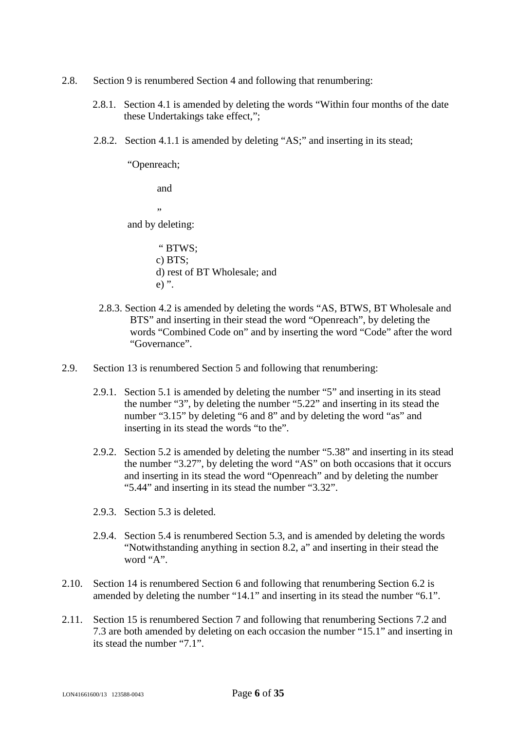- 2.8. Section 9 is renumbered Section 4 and following that renumbering:
	- 2.8.1. Section 4.1 is amended by deleting the words "Within four months of the date these Undertakings take effect,";
	- 2.8.2. Section 4.1.1 is amended by deleting "AS;" and inserting in its stead;

"Openreach;

and

"

and by deleting:

- " BTWS; c) BTS; d) rest of BT Wholesale; and e) ".
- 2.8.3. Section 4.2 is amended by deleting the words "AS, BTWS, BT Wholesale and BTS" and inserting in their stead the word "Openreach", by deleting the words "Combined Code on" and by inserting the word "Code" after the word "Governance".
- 2.9. Section 13 is renumbered Section 5 and following that renumbering:
	- 2.9.1. Section 5.1 is amended by deleting the number "5" and inserting in its stead the number "3", by deleting the number "5.22" and inserting in its stead the number "3.15" by deleting "6 and 8" and by deleting the word "as" and inserting in its stead the words "to the".
	- 2.9.2. Section 5.2 is amended by deleting the number "5.38" and inserting in its stead the number "3.27", by deleting the word "AS" on both occasions that it occurs and inserting in its stead the word "Openreach" and by deleting the number "5.44" and inserting in its stead the number "3.32".
	- 2.9.3. Section 5.3 is deleted.
	- 2.9.4. Section 5.4 is renumbered Section 5.3, and is amended by deleting the words "Notwithstanding anything in section 8.2, a" and inserting in their stead the word "A".
- 2.10. Section 14 is renumbered Section 6 and following that renumbering Section 6.2 is amended by deleting the number "14.1" and inserting in its stead the number "6.1".
- 2.11. Section 15 is renumbered Section 7 and following that renumbering Sections 7.2 and 7.3 are both amended by deleting on each occasion the number "15.1" and inserting in its stead the number "7.1".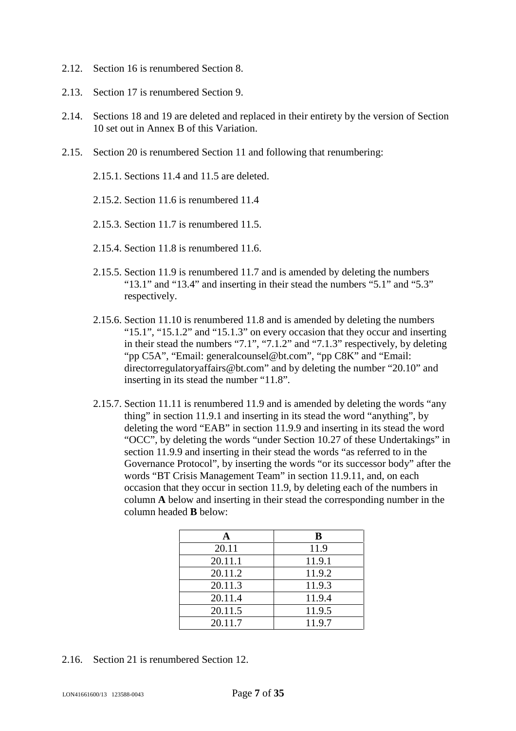- 2.12. Section 16 is renumbered Section 8.
- 2.13. Section 17 is renumbered Section 9.
- 2.14. Sections 18 and 19 are deleted and replaced in their entirety by the version of Section 10 set out in Annex B of this Variation.
- 2.15. Section 20 is renumbered Section 11 and following that renumbering:

2.15.1. Sections 11.4 and 11.5 are deleted.

2.15.2. Section 11.6 is renumbered 11.4

2.15.3. Section 11.7 is renumbered 11.5.

- 2.15.4. Section 11.8 is renumbered 11.6.
- 2.15.5. Section 11.9 is renumbered 11.7 and is amended by deleting the numbers "13.1" and "13.4" and inserting in their stead the numbers "5.1" and "5.3" respectively.
- 2.15.6. Section 11.10 is renumbered 11.8 and is amended by deleting the numbers "15.1", "15.1.2" and "15.1.3" on every occasion that they occur and inserting in their stead the numbers "7.1", "7.1.2" and "7.1.3" respectively, by deleting "pp C5A", "Email: generalcounsel@bt.com", "pp C8K" and "Email: directorregulatoryaffairs@bt.com" and by deleting the number "20.10" and inserting in its stead the number "11.8".
- 2.15.7. Section 11.11 is renumbered 11.9 and is amended by deleting the words "any thing" in section 11.9.1 and inserting in its stead the word "anything", by deleting the word "EAB" in section 11.9.9 and inserting in its stead the word "OCC", by deleting the words "under Section 10.27 of these Undertakings" in section 11.9.9 and inserting in their stead the words "as referred to in the Governance Protocol", by inserting the words "or its successor body" after the words "BT Crisis Management Team" in section 11.9.11, and, on each occasion that they occur in section 11.9, by deleting each of the numbers in column **A** below and inserting in their stead the corresponding number in the column headed **B** below:

|         | В      |
|---------|--------|
| 20.11   | 11.9   |
| 20.11.1 | 11.9.1 |
| 20.11.2 | 11.9.2 |
| 20.11.3 | 11.9.3 |
| 20.11.4 | 11.9.4 |
| 20.11.5 | 11.9.5 |
| 20.11.7 | 11.9.7 |

2.16. Section 21 is renumbered Section 12.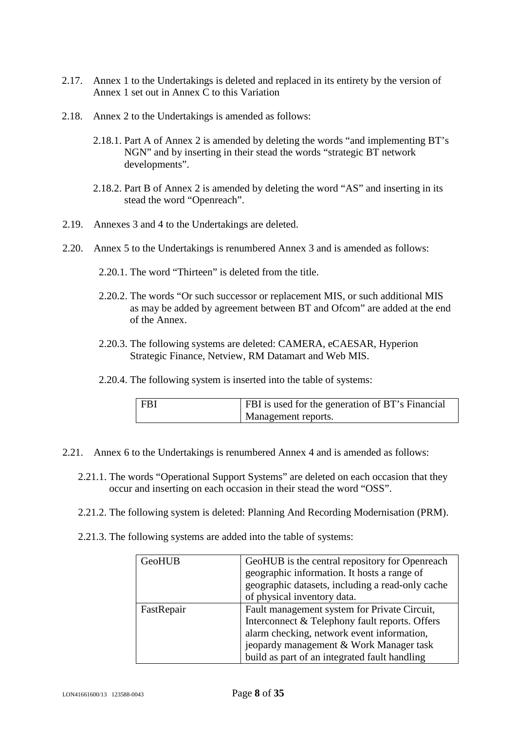- 2.17. Annex 1 to the Undertakings is deleted and replaced in its entirety by the version of Annex 1 set out in Annex C to this Variation
- 2.18. Annex 2 to the Undertakings is amended as follows:
	- 2.18.1. Part A of Annex 2 is amended by deleting the words "and implementing BT's NGN" and by inserting in their stead the words "strategic BT network developments".
	- 2.18.2. Part B of Annex 2 is amended by deleting the word "AS" and inserting in its stead the word "Openreach".
- 2.19. Annexes 3 and 4 to the Undertakings are deleted.
- 2.20. Annex 5 to the Undertakings is renumbered Annex 3 and is amended as follows:
	- 2.20.1. The word "Thirteen" is deleted from the title.
	- 2.20.2. The words "Or such successor or replacement MIS, or such additional MIS as may be added by agreement between BT and Ofcom" are added at the end of the Annex.
	- 2.20.3. The following systems are deleted: CAMERA, eCAESAR, Hyperion Strategic Finance, Netview, RM Datamart and Web MIS.
	- 2.20.4. The following system is inserted into the table of systems:

| FBI | <b>FBI</b> is used for the generation of BT's Financial |
|-----|---------------------------------------------------------|
|     | Management reports.                                     |

- 2.21. Annex 6 to the Undertakings is renumbered Annex 4 and is amended as follows:
	- 2.21.1. The words "Operational Support Systems" are deleted on each occasion that they occur and inserting on each occasion in their stead the word "OSS".
	- 2.21.2. The following system is deleted: Planning And Recording Modernisation (PRM).
	- 2.21.3. The following systems are added into the table of systems:

| <b>GeoHUB</b> | GeoHUB is the central repository for Openreach   |
|---------------|--------------------------------------------------|
|               | geographic information. It hosts a range of      |
|               | geographic datasets, including a read-only cache |
|               | of physical inventory data.                      |
| FastRepair    | Fault management system for Private Circuit,     |
|               | Interconnect & Telephony fault reports. Offers   |
|               | alarm checking, network event information,       |
|               | jeopardy management & Work Manager task          |
|               | build as part of an integrated fault handling    |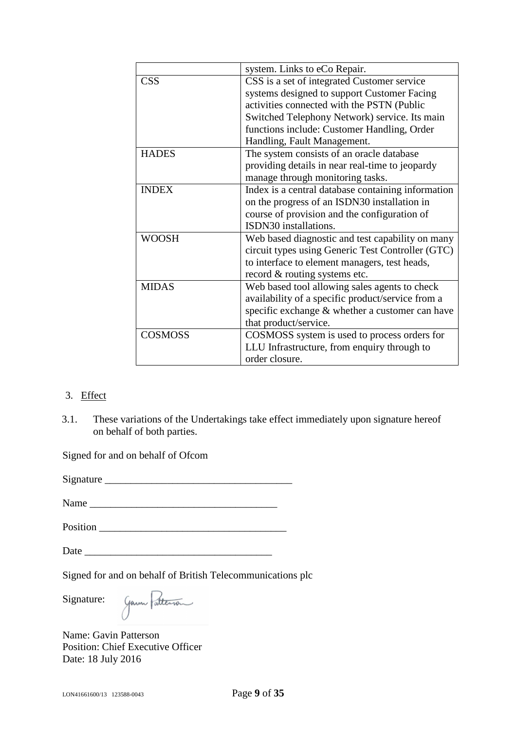|                | system. Links to eCo Repair.                       |
|----------------|----------------------------------------------------|
| <b>CSS</b>     | CSS is a set of integrated Customer service        |
|                | systems designed to support Customer Facing        |
|                | activities connected with the PSTN (Public         |
|                | Switched Telephony Network) service. Its main      |
|                | functions include: Customer Handling, Order        |
|                | Handling, Fault Management.                        |
| <b>HADES</b>   | The system consists of an oracle database          |
|                | providing details in near real-time to jeopardy    |
|                | manage through monitoring tasks.                   |
| <b>INDEX</b>   | Index is a central database containing information |
|                | on the progress of an ISDN30 installation in       |
|                | course of provision and the configuration of       |
|                | ISDN30 installations.                              |
| <b>WOOSH</b>   | Web based diagnostic and test capability on many   |
|                | circuit types using Generic Test Controller (GTC)  |
|                | to interface to element managers, test heads,      |
|                | record & routing systems etc.                      |
| <b>MIDAS</b>   | Web based tool allowing sales agents to check      |
|                | availability of a specific product/service from a  |
|                | specific exchange & whether a customer can have    |
|                | that product/service.                              |
| <b>COSMOSS</b> | COSMOSS system is used to process orders for       |
|                | LLU Infrastructure, from enquiry through to        |
|                | order closure.                                     |

# 3. Effect

3.1. These variations of the Undertakings take effect immediately upon signature hereof on behalf of both parties.

Signed for and on behalf of Ofcom

Signature \_\_\_\_\_\_\_\_\_\_\_\_\_\_\_\_\_\_\_\_\_\_\_\_\_\_\_\_\_\_\_\_\_\_\_\_

Name \_\_\_\_\_\_\_\_\_\_\_\_\_\_\_\_\_\_\_\_\_\_\_\_\_\_\_\_\_\_\_\_\_\_\_\_

Position  $\blacksquare$ 

Date \_\_\_\_\_\_\_\_\_\_\_\_\_\_\_\_\_\_\_\_\_\_\_\_\_\_\_\_\_\_\_\_\_\_\_\_

Signed for and on behalf of British Telecommunications plc

Signature:

Garn Patterson

Name: Gavin Patterson Position: Chief Executive Officer Date: 18 July 2016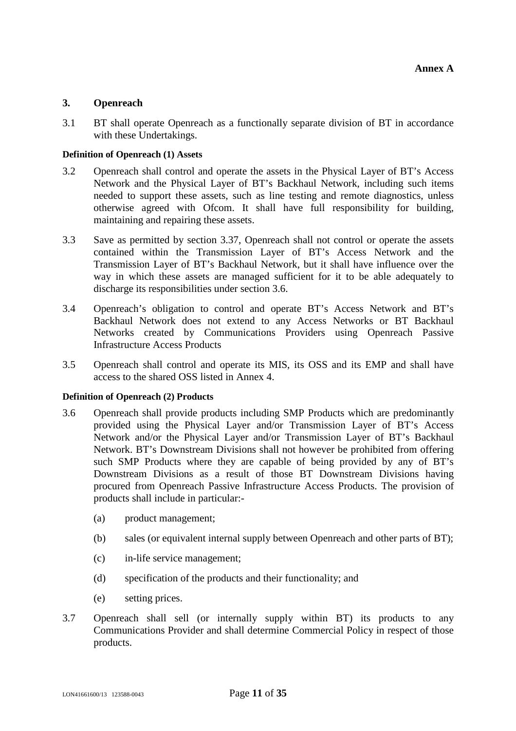## <span id="page-10-2"></span>**3. Openreach**

3.1 BT shall operate Openreach as a functionally separate division of BT in accordance with these Undertakings.

#### **Definition of Openreach (1) Assets**

- <span id="page-10-1"></span>3.2 Openreach shall control and operate the assets in the Physical Layer of BT's Access Network and the Physical Layer of BT's Backhaul Network, including such items needed to support these assets, such as line testing and remote diagnostics, unless otherwise agreed with Ofcom. It shall have full responsibility for building, maintaining and repairing these assets.
- 3.3 Save as permitted by section [3.37](#page-17-0), Openreach shall not control or operate the assets contained within the Transmission Layer of BT's Access Network and the Transmission Layer of BT's Backhaul Network, but it shall have influence over the way in which these assets are managed sufficient for it to be able adequately to discharge its responsibilities under section [3.6](#page-10-0).
- 3.4 Openreach's obligation to control and operate BT's Access Network and BT's Backhaul Network does not extend to any Access Networks or BT Backhaul Networks created by Communications Providers using Openreach Passive Infrastructure Access Products
- 3.5 Openreach shall control and operate its MIS, its OSS and its EMP and shall have access to the shared OSS listed in Annex 4.

#### **Definition of Openreach (2) Products**

- <span id="page-10-0"></span>3.6 Openreach shall provide products including SMP Products which are predominantly provided using the Physical Layer and/or Transmission Layer of BT's Access Network and/or the Physical Layer and/or Transmission Layer of BT's Backhaul Network. BT's Downstream Divisions shall not however be prohibited from offering such SMP Products where they are capable of being provided by any of BT's Downstream Divisions as a result of those BT Downstream Divisions having procured from Openreach Passive Infrastructure Access Products. The provision of products shall include in particular:-
	- (a) product management;
	- (b) sales (or equivalent internal supply between Openreach and other parts of BT);
	- (c) in-life service management;
	- (d) specification of the products and their functionality; and
	- (e) setting prices.
- 3.7 Openreach shall sell (or internally supply within BT) its products to any Communications Provider and shall determine Commercial Policy in respect of those products.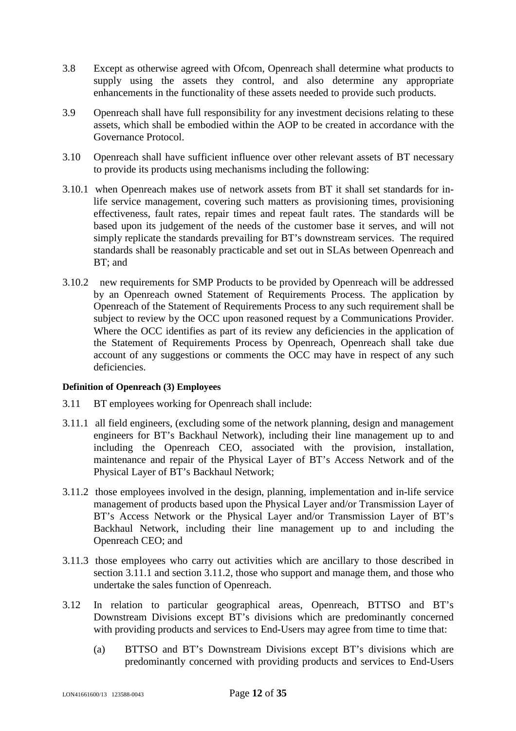- 3.8 Except as otherwise agreed with Ofcom, Openreach shall determine what products to supply using the assets they control, and also determine any appropriate enhancements in the functionality of these assets needed to provide such products.
- 3.9 Openreach shall have full responsibility for any investment decisions relating to these assets, which shall be embodied within the AOP to be created in accordance with the Governance Protocol.
- 3.10 Openreach shall have sufficient influence over other relevant assets of BT necessary to provide its products using mechanisms including the following:
- 3.10.1 when Openreach makes use of network assets from BT it shall set standards for inlife service management, covering such matters as provisioning times, provisioning effectiveness, fault rates, repair times and repeat fault rates. The standards will be based upon its judgement of the needs of the customer base it serves, and will not simply replicate the standards prevailing for BT's downstream services. The required standards shall be reasonably practicable and set out in SLAs between Openreach and BT; and
- 3.10.2 new requirements for SMP Products to be provided by Openreach will be addressed by an Openreach owned Statement of Requirements Process. The application by Openreach of the Statement of Requirements Process to any such requirement shall be subject to review by the OCC upon reasoned request by a Communications Provider. Where the OCC identifies as part of its review any deficiencies in the application of the Statement of Requirements Process by Openreach, Openreach shall take due account of any suggestions or comments the OCC may have in respect of any such deficiencies.

## **Definition of Openreach (3) Employees**

- <span id="page-11-2"></span>3.11 BT employees working for Openreach shall include:
- <span id="page-11-0"></span>3.11.1 all field engineers, (excluding some of the network planning, design and management engineers for BT's Backhaul Network), including their line management up to and including the Openreach CEO, associated with the provision, installation, maintenance and repair of the Physical Layer of BT's Access Network and of the Physical Layer of BT's Backhaul Network;
- <span id="page-11-1"></span>3.11.2 those employees involved in the design, planning, implementation and in-life service management of products based upon the Physical Layer and/or Transmission Layer of BT's Access Network or the Physical Layer and/or Transmission Layer of BT's Backhaul Network, including their line management up to and including the Openreach CEO; and
- 3.11.3 those employees who carry out activities which are ancillary to those described in section [3.11.1](#page-11-0) and section [3.11.2](#page-11-1), those who support and manage them, and those who undertake the sales function of Openreach.
- 3.12 In relation to particular geographical areas, Openreach, BTTSO and BT's Downstream Divisions except BT's divisions which are predominantly concerned with providing products and services to End-Users may agree from time to time that:
	- (a) BTTSO and BT's Downstream Divisions except BT's divisions which are predominantly concerned with providing products and services to End-Users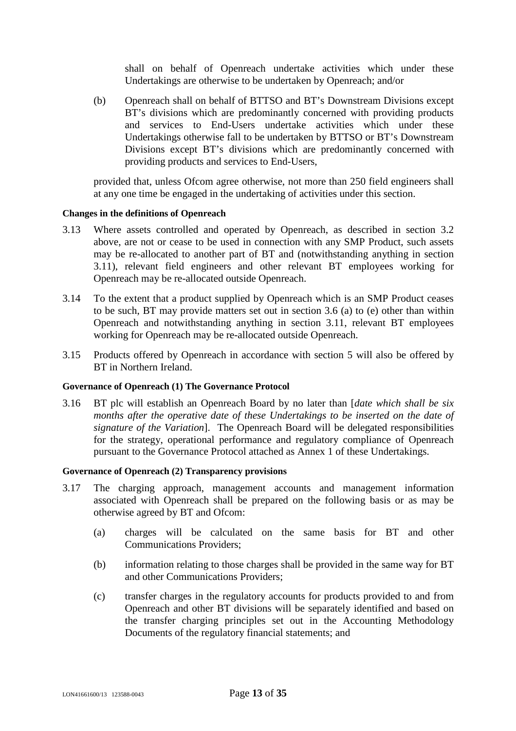shall on behalf of Openreach undertake activities which under these Undertakings are otherwise to be undertaken by Openreach; and/or

(b) Openreach shall on behalf of BTTSO and BT's Downstream Divisions except BT's divisions which are predominantly concerned with providing products and services to End-Users undertake activities which under these Undertakings otherwise fall to be undertaken by BTTSO or BT's Downstream Divisions except BT's divisions which are predominantly concerned with providing products and services to End-Users,

provided that, unless Ofcom agree otherwise, not more than 250 field engineers shall at any one time be engaged in the undertaking of activities under this section.

#### **Changes in the definitions of Openreach**

- 3.13 Where assets controlled and operated by Openreach, as described in section [3.2](#page-10-1) above, are not or cease to be used in connection with any SMP Product, such assets may be re-allocated to another part of BT and (notwithstanding anything in section [3.11](#page-11-2)), relevant field engineers and other relevant BT employees working for Openreach may be re-allocated outside Openreach.
- 3.14 To the extent that a product supplied by Openreach which is an SMP Product ceases to be such, BT may provide matters set out in section [3.6](#page-10-0) (a) to (e) other than within Openreach and notwithstanding anything in section [3.11,](#page-11-2) relevant BT employees working for Openreach may be re-allocated outside Openreach.
- 3.15 Products offered by Openreach in accordance with section 5 will also be offered by BT in Northern Ireland.

#### **Governance of Openreach (1) The Governance Protocol**

3.16 BT plc will establish an Openreach Board by no later than [*date which shall be six months after the operative date of these Undertakings to be inserted on the date of signature of the Variation*]. The Openreach Board will be delegated responsibilities for the strategy, operational performance and regulatory compliance of Openreach pursuant to the Governance Protocol attached as Annex 1 of these Undertakings.

#### **Governance of Openreach (2) Transparency provisions**

- 3.17 The charging approach, management accounts and management information associated with Openreach shall be prepared on the following basis or as may be otherwise agreed by BT and Ofcom:
	- (a) charges will be calculated on the same basis for BT and other Communications Providers;
	- (b) information relating to those charges shall be provided in the same way for BT and other Communications Providers;
	- (c) transfer charges in the regulatory accounts for products provided to and from Openreach and other BT divisions will be separately identified and based on the transfer charging principles set out in the Accounting Methodology Documents of the regulatory financial statements; and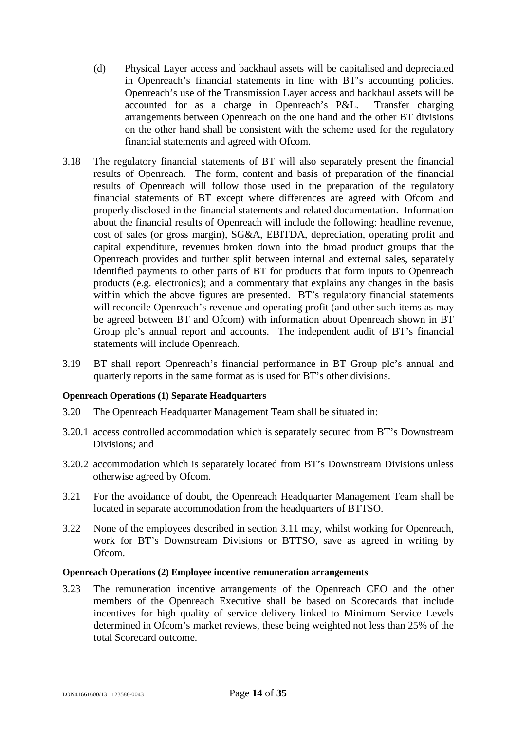- (d) Physical Layer access and backhaul assets will be capitalised and depreciated in Openreach's financial statements in line with BT's accounting policies. Openreach's use of the Transmission Layer access and backhaul assets will be accounted for as a charge in Openreach's P&L. Transfer charging arrangements between Openreach on the one hand and the other BT divisions on the other hand shall be consistent with the scheme used for the regulatory financial statements and agreed with Ofcom.
- 3.18 The regulatory financial statements of BT will also separately present the financial results of Openreach. The form, content and basis of preparation of the financial results of Openreach will follow those used in the preparation of the regulatory financial statements of BT except where differences are agreed with Ofcom and properly disclosed in the financial statements and related documentation. Information about the financial results of Openreach will include the following: headline revenue, cost of sales (or gross margin), SG&A, EBITDA, depreciation, operating profit and capital expenditure, revenues broken down into the broad product groups that the Openreach provides and further split between internal and external sales, separately identified payments to other parts of BT for products that form inputs to Openreach products (e.g. electronics); and a commentary that explains any changes in the basis within which the above figures are presented. BT's regulatory financial statements will reconcile Openreach's revenue and operating profit (and other such items as may be agreed between BT and Ofcom) with information about Openreach shown in BT Group plc's annual report and accounts. The independent audit of BT's financial statements will include Openreach.
- 3.19 BT shall report Openreach's financial performance in BT Group plc's annual and quarterly reports in the same format as is used for BT's other divisions.

#### **Openreach Operations (1) Separate Headquarters**

- 3.20 The Openreach Headquarter Management Team shall be situated in:
- 3.20.1 access controlled accommodation which is separately secured from BT's Downstream Divisions; and
- 3.20.2 accommodation which is separately located from BT's Downstream Divisions unless otherwise agreed by Ofcom.
- 3.21 For the avoidance of doubt, the Openreach Headquarter Management Team shall be located in separate accommodation from the headquarters of BTTSO.
- 3.22 [None of the employees described in section 3.11 may, whilst working for Openreach,](#page-11-2) work for BT's Downstream Divisions or BTTSO, save as agreed in writing by Ofcom.

#### **Openreach Operations (2) Employee incentive remuneration arrangements**

3.23 The remuneration incentive arrangements of the Openreach CEO and the other members of the Openreach Executive shall be based on Scorecards that include incentives for high quality of service delivery linked to Minimum Service Levels determined in Ofcom's market reviews, these being weighted not less than 25% of the total Scorecard outcome.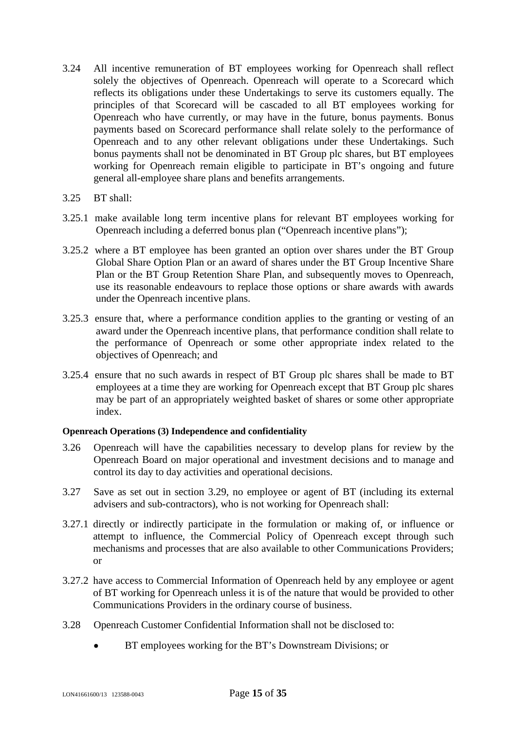- 3.24 All incentive remuneration of BT employees working for Openreach shall reflect solely the objectives of Openreach. Openreach will operate to a Scorecard which reflects its obligations under these Undertakings to serve its customers equally. The principles of that Scorecard will be cascaded to all BT employees working for Openreach who have currently, or may have in the future, bonus payments. Bonus payments based on Scorecard performance shall relate solely to the performance of Openreach and to any other relevant obligations under these Undertakings. Such bonus payments shall not be denominated in BT Group plc shares, but BT employees working for Openreach remain eligible to participate in BT's ongoing and future general all-employee share plans and benefits arrangements.
- 3.25 BT shall:
- 3.25.1 make available long term incentive plans for relevant BT employees working for Openreach including a deferred bonus plan ("Openreach incentive plans");
- 3.25.2 where a BT employee has been granted an option over shares under the BT Group Global Share Option Plan or an award of shares under the BT Group Incentive Share Plan or the BT Group Retention Share Plan, and subsequently moves to Openreach, use its reasonable endeavours to replace those options or share awards with awards under the Openreach incentive plans.
- 3.25.3 ensure that, where a performance condition applies to the granting or vesting of an award under the Openreach incentive plans, that performance condition shall relate to the performance of Openreach or some other appropriate index related to the objectives of Openreach; and
- 3.25.4 ensure that no such awards in respect of BT Group plc shares shall be made to BT employees at a time they are working for Openreach except that BT Group plc shares may be part of an appropriately weighted basket of shares or some other appropriate index.

## **Openreach Operations (3) Independence and confidentiality**

- <span id="page-14-0"></span>3.26 Openreach will have the capabilities necessary to develop plans for review by the Openreach Board on major operational and investment decisions and to manage and control its day to day activities and operational decisions.
- 3.27 Save as set out in section [3.29](#page-15-0), no employee or agent of BT (including its external advisers and sub-contractors), who is not working for Openreach shall:
- <span id="page-14-1"></span>3.27.1 directly or indirectly participate in the formulation or making of, or influence or attempt to influence, the Commercial Policy of Openreach except through such mechanisms and processes that are also available to other Communications Providers; or
- <span id="page-14-2"></span>3.27.2 have access to Commercial Information of Openreach held by any employee or agent of BT working for Openreach unless it is of the nature that would be provided to other Communications Providers in the ordinary course of business.
- 3.28 Openreach Customer Confidential Information shall not be disclosed to:
	- BT employees working for the BT's Downstream Divisions; or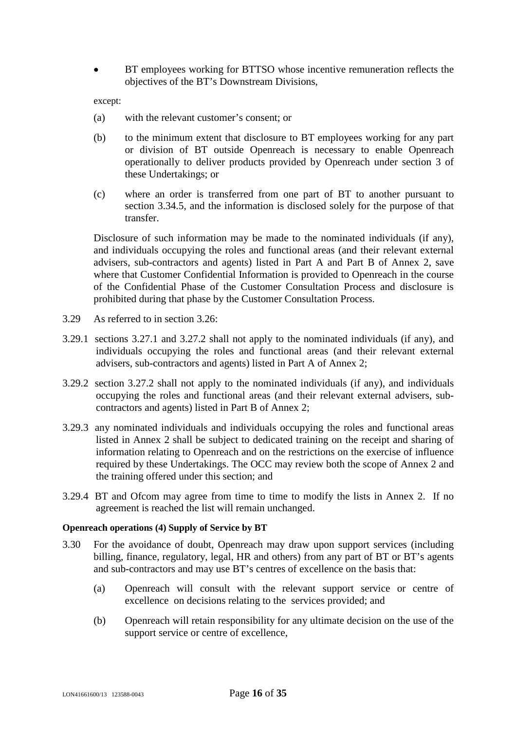BT employees working for BTTSO whose incentive remuneration reflects the objectives of the BT's Downstream Divisions,

except:

- (a) with the relevant customer's consent; or
- (b) to the minimum extent that disclosure to BT employees working for any part or division of BT outside Openreach is necessary to enable Openreach operationally to deliver products provided by Openreach under section [3](#page-10-2) of these Undertakings; or
- (c) where an order is transferred from one part of BT to another pursuant to section [3.34.5,](#page-17-1) and the information is disclosed solely for the purpose of that transfer.

Disclosure of such information may be made to the nominated individuals (if any), and individuals occupying the roles and functional areas (and their relevant external advisers, sub-contractors and agents) listed in Part A and Part B of Annex 2, save where that Customer Confidential Information is provided to Openreach in the course of the Confidential Phase of the Customer Consultation Process and disclosure is prohibited during that phase by the Customer Consultation Process.

- <span id="page-15-0"></span>3.29 As referred to in section [3.26:](#page-14-0)
- 3.29.1 sections [3.27.1](#page-14-1)and [3.27.2](#page-14-2) shall not apply to the nominated individuals (if any), and individuals occupying the roles and functional areas (and their relevant external advisers, sub-contractors and agents) listed in Part A of Annex 2;
- 3.29.2 section [3.27.2](#page-14-2) shall not apply to the nominated individuals (if any), and individuals occupying the roles and functional areas (and their relevant external advisers, subcontractors and agents) listed in Part B of Annex 2;
- 3.29.3 any nominated individuals and individuals occupying the roles and functional areas listed in Annex 2 shall be subject to dedicated training on the receipt and sharing of information relating to Openreach and on the restrictions on the exercise of influence required by these Undertakings. The OCC may review both the scope of Annex 2 and the training offered under this section; and
- 3.29.4 BT and Ofcom may agree from time to time to modify the lists in Annex 2. If no agreement is reached the list will remain unchanged.

#### **Openreach operations (4) Supply of Service by BT**

- 3.30 For the avoidance of doubt, Openreach may draw upon support services (including billing, finance, regulatory, legal, HR and others) from any part of BT or BT's agents and sub-contractors and may use BT's centres of excellence on the basis that:
	- (a) Openreach will consult with the relevant support service or centre of excellence on decisions relating to the services provided; and
	- (b) Openreach will retain responsibility for any ultimate decision on the use of the support service or centre of excellence,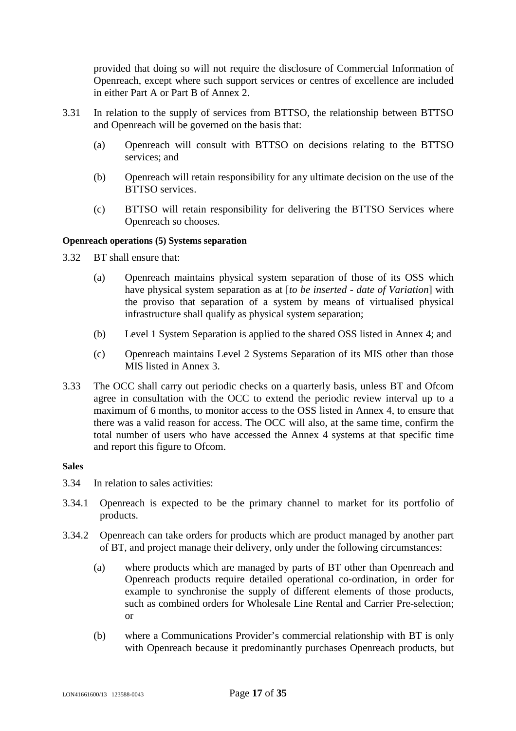provided that doing so will not require the disclosure of Commercial Information of Openreach, except where such support services or centres of excellence are included in either Part A or Part B of Annex 2.

- 3.31 In relation to the supply of services from BTTSO, the relationship between BTTSO and Openreach will be governed on the basis that:
	- (a) Openreach will consult with BTTSO on decisions relating to the BTTSO services; and
	- (b) Openreach will retain responsibility for any ultimate decision on the use of the BTTSO services.
	- (c) BTTSO will retain responsibility for delivering the BTTSO Services where Openreach so chooses.

## **Openreach operations (5) Systems separation**

- 3.32 BT shall ensure that:
	- (a) Openreach maintains physical system separation of those of its OSS which have physical system separation as at [*to be inserted - date of Variation*] with the proviso that separation of a system by means of virtualised physical infrastructure shall qualify as physical system separation;
	- (b) Level 1 System Separation is applied to the shared OSS listed in Annex 4; and
	- (c) Openreach maintains Level 2 Systems Separation of its MIS other than those MIS listed in Annex 3.
- 3.33 The OCC shall carry out periodic checks on a quarterly basis, unless BT and Ofcom agree in consultation with the OCC to extend the periodic review interval up to a maximum of 6 months, to monitor access to the OSS listed in Annex 4, to ensure that there was a valid reason for access. The OCC will also, at the same time, confirm the total number of users who have accessed the Annex 4 systems at that specific time and report this figure to Ofcom.

#### **Sales**

- 3.34 In relation to sales activities:
- 3.34.1 Openreach is expected to be the primary channel to market for its portfolio of products.
- <span id="page-16-1"></span><span id="page-16-0"></span>3.34.2 Openreach can take orders for products which are product managed by another part of BT, and project manage their delivery, only under the following circumstances:
	- (a) where products which are managed by parts of BT other than Openreach and Openreach products require detailed operational co-ordination, in order for example to synchronise the supply of different elements of those products, such as combined orders for Wholesale Line Rental and Carrier Pre-selection; or
	- (b) where a Communications Provider's commercial relationship with BT is only with Openreach because it predominantly purchases Openreach products, but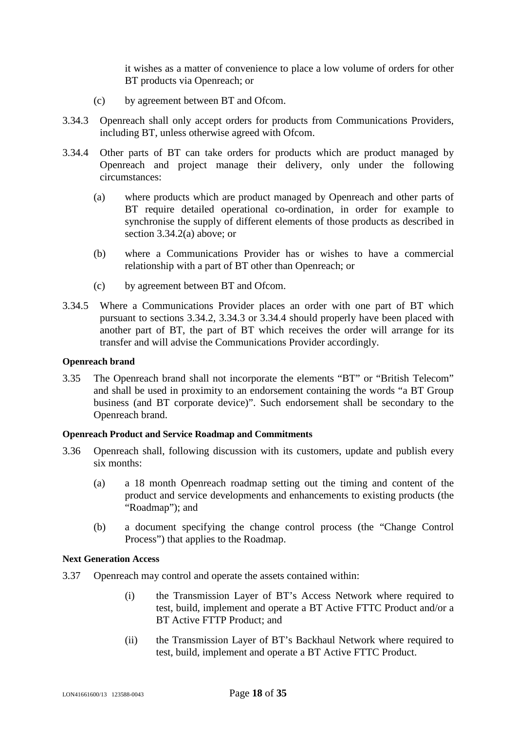it wishes as a matter of convenience to place a low volume of orders for other BT products via Openreach; or

- <span id="page-17-2"></span>(c) by agreement between BT and Ofcom.
- 3.34.3 Openreach shall only accept orders for products from Communications Providers, including BT, unless otherwise agreed with Ofcom.
- <span id="page-17-3"></span>3.34.4 Other parts of BT can take orders for products which are product managed by Openreach and project manage their delivery, only under the following circumstances:
	- (a) where products which are product managed by Openreach and other parts of BT require detailed operational co-ordination, in order for example to synchronise the supply of different elements of those products as described in section [3.34.2\(a\)](#page-16-0) above; or
	- (b) where a Communications Provider has or wishes to have a commercial relationship with a part of BT other than Openreach; or
	- (c) by agreement between BT and Ofcom.
- <span id="page-17-1"></span>3.34.5 Where a Communications Provider places an order with one part of BT which pursuant to sections [3.34.2,](#page-16-1) [3.34.3](#page-17-2)or [3.34.4](#page-17-3) should properly have been placed with another part of BT, the part of BT which receives the order will arrange for its transfer and will advise the Communications Provider accordingly.

## **Openreach brand**

3.35 The Openreach brand shall not incorporate the elements "BT" or "British Telecom" and shall be used in proximity to an endorsement containing the words "a BT Group business (and BT corporate device)". Such endorsement shall be secondary to the Openreach brand.

#### **Openreach Product and Service Roadmap and Commitments**

- 3.36 Openreach shall, following discussion with its customers, update and publish every six months:
	- (a) a 18 month Openreach roadmap setting out the timing and content of the product and service developments and enhancements to existing products (the "Roadmap"); and
	- (b) a document specifying the change control process (the "Change Control Process") that applies to the Roadmap.

#### **Next Generation Access**

- <span id="page-17-0"></span>3.37 Openreach may control and operate the assets contained within:
	- (i) the Transmission Layer of BT's Access Network where required to test, build, implement and operate a BT Active FTTC Product and/or a BT Active FTTP Product; and
	- (ii) the Transmission Layer of BT's Backhaul Network where required to test, build, implement and operate a BT Active FTTC Product.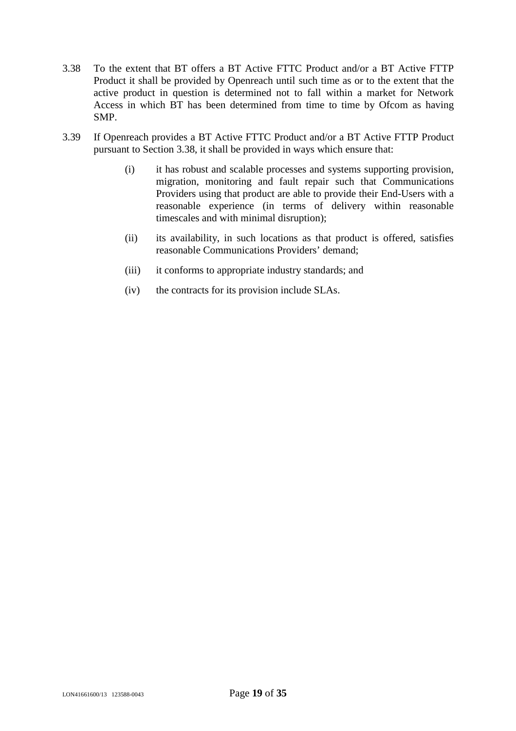- <span id="page-18-0"></span>3.38 To the extent that BT offers a BT Active FTTC Product and/or a BT Active FTTP Product it shall be provided by Openreach until such time as or to the extent that the active product in question is determined not to fall within a market for Network Access in which BT has been determined from time to time by Ofcom as having SMP.
- 3.39 If Openreach provides a BT Active FTTC Product and/or a BT Active FTTP Product pursuant to Section [3.38,](#page-18-0) it shall be provided in ways which ensure that:
	- (i) it has robust and scalable processes and systems supporting provision, migration, monitoring and fault repair such that Communications Providers using that product are able to provide their End-Users with a reasonable experience (in terms of delivery within reasonable timescales and with minimal disruption);
	- (ii) its availability, in such locations as that product is offered, satisfies reasonable Communications Providers' demand;
	- (iii) it conforms to appropriate industry standards; and
	- (iv) the contracts for its provision include SLAs.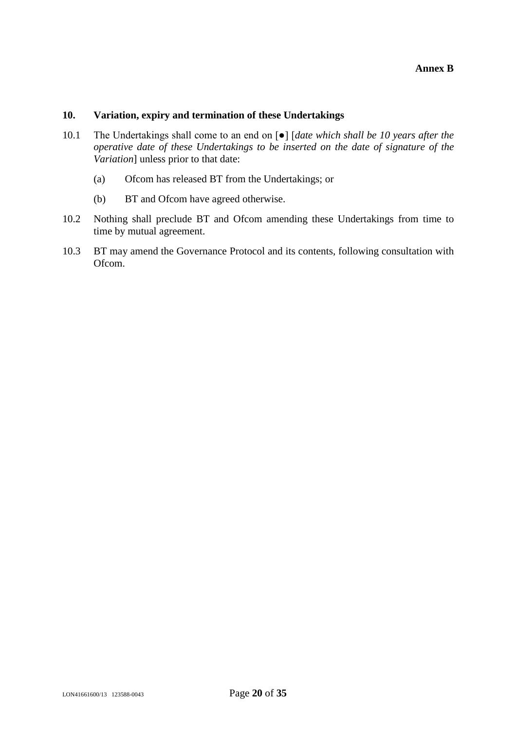## **10. Variation, expiry and termination of these Undertakings**

- 10.1 The Undertakings shall come to an end on [●] [*date which shall be 10 years after the operative date of these Undertakings to be inserted on the date of signature of the Variation*] unless prior to that date:
	- (a) Ofcom has released BT from the Undertakings; or
	- (b) BT and Ofcom have agreed otherwise.
- 10.2 Nothing shall preclude BT and Ofcom amending these Undertakings from time to time by mutual agreement.
- 10.3 BT may amend the Governance Protocol and its contents, following consultation with Ofcom.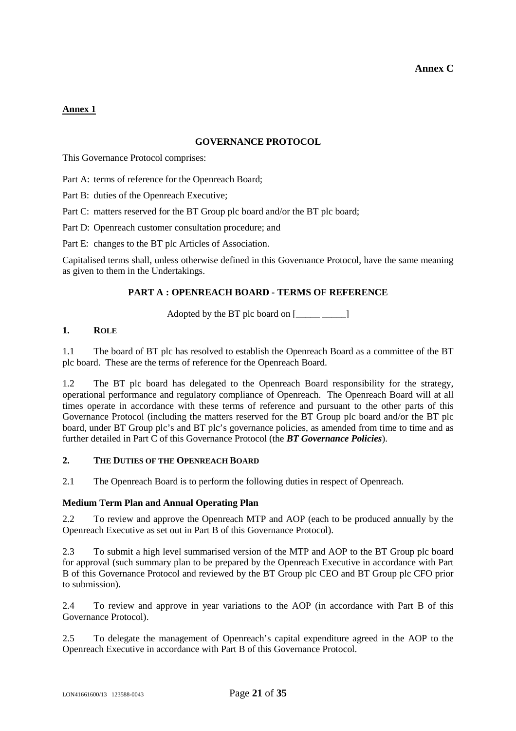## **Annex 1**

#### **GOVERNANCE PROTOCOL**

This Governance Protocol comprises:

[Part A:](#page-20-0) terms of reference for the Openreach Board;

[Part B:](#page-28-0) duties of the Openreach Executive;

[Part C:](#page-30-0) matters reserved for the BT Group plc board and/or the BT plc board;

[Part D:](#page-31-0) Openreach customer consultation procedure; and

[Part E:](#page-33-0) changes to the BT plc Articles of Association.

Capitalised terms shall, unless otherwise defined in this Governance Protocol, have the same meaning as given to them in the Undertakings.

#### **PART A : OPENREACH BOARD - TERMS OF REFERENCE**

<span id="page-20-0"></span>Adopted by the BT plc board on  $[\_\_\_\_\_$ 

#### **1. ROLE**

1.1 The board of BT plc has resolved to establish the Openreach Board as a committee of the BT plc board. These are the terms of reference for the Openreach Board.

1.2 The BT plc board has delegated to the Openreach Board responsibility for the strategy, operational performance and regulatory compliance of Openreach. The Openreach Board will at all times operate in accordance with these terms of reference and pursuant to the other parts of this Governance Protocol (including the matters reserved for the BT Group plc board and/or the BT plc board, under BT Group plc's and BT plc's governance policies, as amended from time to time and as further detailed in Part C of this Governance Protocol (the *BT Governance Policies*).

#### **2. THE DUTIES OF THE OPENREACH BOARD**

2.1 The Openreach Board is to perform the following duties in respect of Openreach.

#### **Medium Term Plan and Annual Operating Plan**

2.2 To review and approve the Openreach MTP and AOP (each to be produced annually by the Openreach Executive as setoutin [Part B](#page-28-0) of this Governance Protocol).

2.3 To submit a high level summarised version of the MTP and AOP to the BT Group plc board for approval (such summary plan to be prepared by the Openreach Executive in accordance with Part B of this Governance Protocol and reviewed by the BT Group plc CEO and BT Group plc CFO prior to submission).

2.4 To review and approve in year variations to the AOP (in accordance with Part B of this Governance Protocol).

2.5 To delegate the management of Openreach's capital expenditure agreed in the AOP to the Openreach Executive in accordancewith [Part B](#page-28-0) of this Governance Protocol.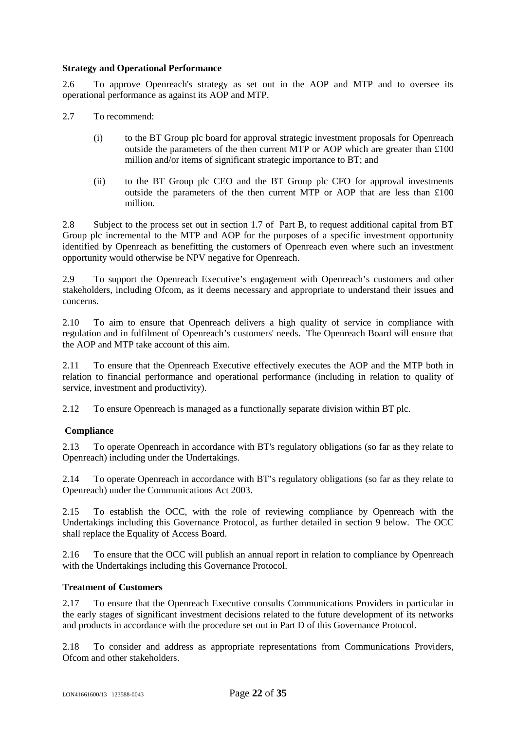#### **Strategy and Operational Performance**

2.6 To approve Openreach's strategy as set out in the AOP and MTP and to oversee its operational performance as against its AOP and MTP.

- 2.7 To recommend:
	- (i) to the BT Group plc board for approval strategic investment proposals for Openreach outside the parameters of the then current MTP or AOP which are greater than  $\pounds 100$ million and/or items of significant strategic importance to BT; and
	- (ii) to the BT Group plc CEO and the BT Group plc CFO for approval investments outside the parameters of the then current MTP or AOP that are less than  $£100$ million.

2.8 Subject to the process set out in section 1.7 of Part B, to request additional capital from BT Group plc incremental to the MTP and AOP for the purposes of a specific investment opportunity identified by Openreach as benefitting the customers of Openreach even where such an investment opportunity would otherwise be NPV negative for Openreach.

2.9 To support the Openreach Executive's engagement with Openreach's customers and other stakeholders, including Ofcom, as it deems necessary and appropriate to understand their issues and concerns.

2.10 To aim to ensure that Openreach delivers a high quality of service in compliance with regulation and in fulfilment of Openreach's customers' needs. The Openreach Board will ensure that the AOP and MTP take account of this aim.

2.11 To ensure that the Openreach Executive effectively executes the AOP and the MTP both in relation to financial performance and operational performance (including in relation to quality of service, investment and productivity).

2.12 To ensure Openreach is managed as a functionally separate division within BT plc.

## **Compliance**

2.13 To operate Openreach in accordance with BT's regulatory obligations (so far as they relate to Openreach) including under the Undertakings.

2.14 To operate Openreach in accordance with BT's regulatory obligations (so far as they relate to Openreach) under the Communications Act 2003.

2.15 To establish the OCC, with the role of reviewing compliance by Openreach with the Undertakings including this Governance Protocol, as further detailed in section 9 below. The OCC shall replace the Equality of Access Board.

2.16 To ensure that the OCC will publish an annual report in relation to compliance by Openreach with the Undertakings including this Governance Protocol.

#### **Treatment of Customers**

2.17 To ensure that the Openreach Executive consults Communications Providers in particular in the early stages of significant investment decisions related to the future development of its networks and products in accordance with the procedure set outinPar[t D of th](#page-31-0)is Governance Protocol.

2.18 To consider and address as appropriate representations from Communications Providers, Ofcom and other stakeholders.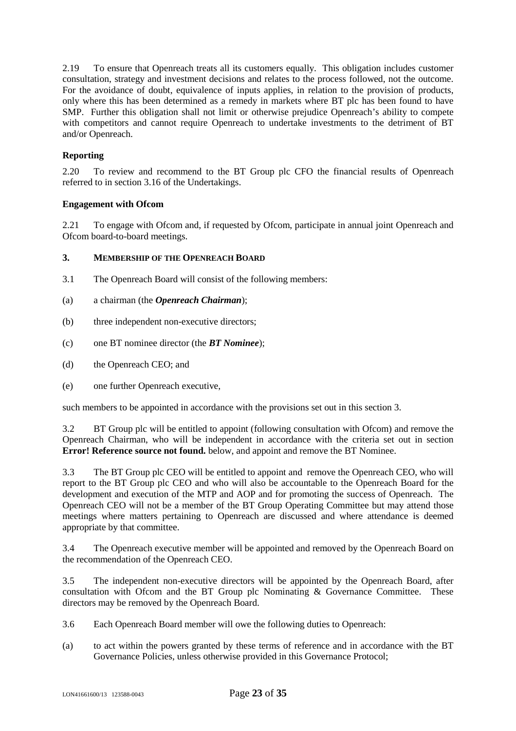2.19 To ensure that Openreach treats all its customers equally. This obligation includes customer consultation, strategy and investment decisions and relates to the process followed, not the outcome. For the avoidance of doubt, equivalence of inputs applies, in relation to the provision of products, only where this has been determined as a remedy in markets where BT plc has been found to have SMP. Further this obligation shall not limit or otherwise prejudice Openreach's ability to compete with competitors and cannot require Openreach to undertake investments to the detriment of BT and/or Openreach.

## **Reporting**

2.20 To review and recommend to the BT Group plc CFO the financial results of Openreach referred to in section 3.16 of the Undertakings.

#### **Engagement with Ofcom**

2.21 To engage with Ofcom and, if requested by Ofcom, participate in annual joint Openreach and Ofcom board-to-board meetings.

#### <span id="page-22-0"></span>**3. MEMBERSHIP OF THE OPENREACH BOARD**

- 3.1 The Openreach Board will consist of the following members:
- (a) a chairman (the *Openreach Chairman*);
- (b) three independent non-executive directors;
- (c) one BT nominee director (the *BT Nominee*);
- (d) the Openreach CEO; and
- (e) one further Openreach executive,

such members to be appointed in accordance with the provisions set out in this section3.

3.2 BT Group plc will be entitled to appoint (following consultation with Ofcom) and remove the Openreach Chairman, who will be independent in accordance with the criteria set out insec[tion](#page-22-0) **Error! Reference source not found.** below, and appoint and remove the BT Nominee.

3.3 The BT Group plc CEO will be entitled to appoint and remove the Openreach CEO, who will report to the BT Group plc CEO and who will also be accountable to the Openreach Board for the development and execution of the MTP and AOP and for promoting the success of Openreach. The Openreach CEO will not be a member of the BT Group Operating Committee but may attend those meetings where matters pertaining to Openreach are discussed and where attendance is deemed appropriate by that committee.

3.4 The Openreach executive member will be appointed and removed by the Openreach Board on the recommendation of the Openreach CEO.

3.5 The independent non-executive directors will be appointed by the Openreach Board, after consultation with Ofcom and the BT Group plc Nominating & Governance Committee. These directors may be removed by the Openreach Board.

- 3.6 Each Openreach Board member will owe the following duties to Openreach:
- (a) to act within the powers granted by these terms of reference and in accordance with the BT Governance Policies, unless otherwise provided in this Governance Protocol;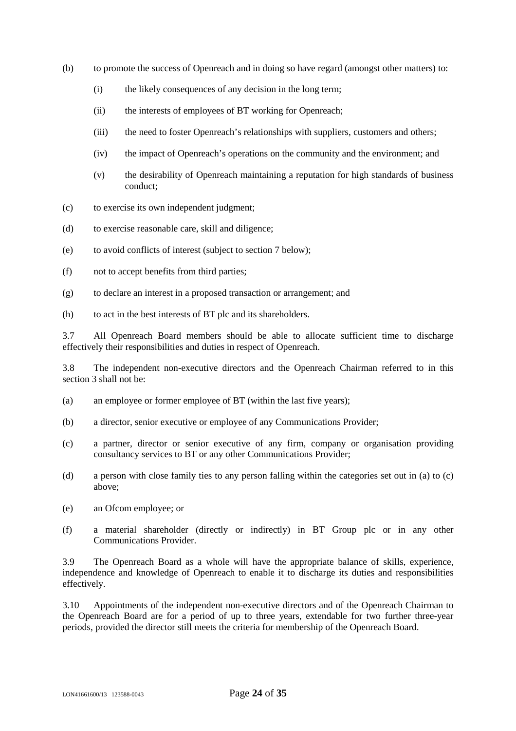- (b) to promote the success of Openreach and in doing so have regard (amongst other matters) to:
	- (i) the likely consequences of any decision in the long term;
	- (ii) the interests of employees of BT working for Openreach;
	- (iii) the need to foster Openreach's relationships with suppliers, customers and others;
	- (iv) the impact of Openreach's operations on the community and the environment; and
	- (v) the desirability of Openreach maintaining a reputation for high standards of business conduct;
- (c) to exercise its own independent judgment;
- (d) to exercise reasonable care, skill and diligence;
- (e) to avoid conflicts of interest (subject to section 7 below);
- (f) not to accept benefits from third parties;
- (g) to declare an interest in a proposed transaction or arrangement; and
- (h) to act in the best interests of BT plc and its shareholders.

3.7 All Openreach Board members should be able to allocate sufficient time to discharge effectively their responsibilities and duties in respect of Openreach.

3.8 The independent non-executive directors and the Openreach Chairman referred to in this section [3](#page-22-0) shall not be:

- <span id="page-23-0"></span>(a) an employee or former employee of BT (within the last five years);
- (b) a director, senior executive or employee of any Communications Provider;
- <span id="page-23-1"></span>(c) a partner, director or senior executive of any firm, company or organisation providing consultancy services to BT or any other Communications Provider;
- (d) a person with close family ties to any person falling within the categories set outin [\(a\)](#page-23-0)to [\(c\)](#page-23-1) above;
- (e) an Ofcom employee; or
- (f) a material shareholder (directly or indirectly) in BT Group plc or in any other Communications Provider.

3.9 The Openreach Board as a whole will have the appropriate balance of skills, experience, independence and knowledge of Openreach to enable it to discharge its duties and responsibilities effectively.

3.10 Appointments of the independent non-executive directors and of the Openreach Chairman to the Openreach Board are for a period of up to three years, extendable for two further three-year periods, provided the director still meets the criteria for membership of the Openreach Board.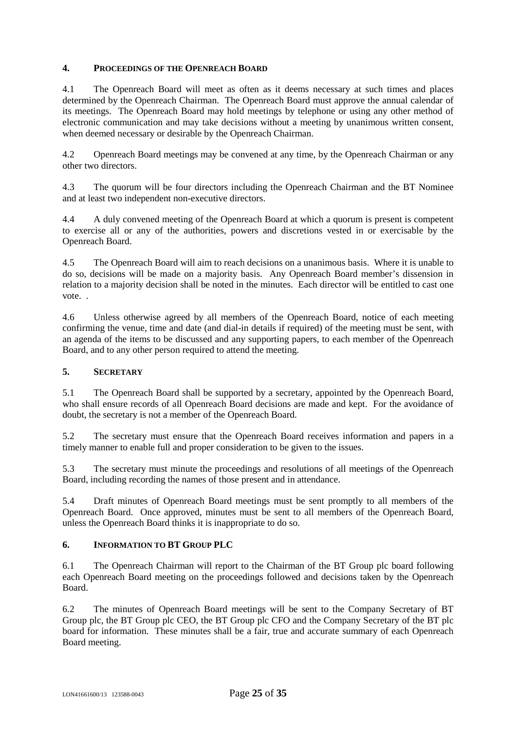#### **4. PROCEEDINGS OF THE OPENREACH BOARD**

4.1 The Openreach Board will meet as often as it deems necessary at such times and places determined by the Openreach Chairman. The Openreach Board must approve the annual calendar of its meetings. The Openreach Board may hold meetings by telephone or using any other method of electronic communication and may take decisions without a meeting by unanimous written consent, when deemed necessary or desirable by the Openreach Chairman.

4.2 Openreach Board meetings may be convened at any time, by the Openreach Chairman or any other two directors.

4.3 The quorum will be four directors including the Openreach Chairman and the BT Nominee and at least two independent non-executive directors.

4.4 A duly convened meeting of the Openreach Board at which a quorum is present is competent to exercise all or any of the authorities, powers and discretions vested in or exercisable by the Openreach Board.

4.5 The Openreach Board will aim to reach decisions on a unanimous basis. Where it is unable to do so, decisions will be made on a majority basis. Any Openreach Board member's dissension in relation to a majority decision shall be noted in the minutes. Each director will be entitled to cast one vote. .

4.6 Unless otherwise agreed by all members of the Openreach Board, notice of each meeting confirming the venue, time and date (and dial-in details if required) of the meeting must be sent, with an agenda of the items to be discussed and any supporting papers, to each member of the Openreach Board, and to any other person required to attend the meeting.

#### **5. SECRETARY**

5.1 The Openreach Board shall be supported by a secretary, appointed by the Openreach Board, who shall ensure records of all Openreach Board decisions are made and kept. For the avoidance of doubt, the secretary is not a member of the Openreach Board.

5.2 The secretary must ensure that the Openreach Board receives information and papers in a timely manner to enable full and proper consideration to be given to the issues.

5.3 The secretary must minute the proceedings and resolutions of all meetings of the Openreach Board, including recording the names of those present and in attendance.

5.4 Draft minutes of Openreach Board meetings must be sent promptly to all members of the Openreach Board. Once approved, minutes must be sent to all members of the Openreach Board, unless the Openreach Board thinks it is inappropriate to do so.

#### **6. INFORMATION TO BT GROUP PLC**

6.1 The Openreach Chairman will report to the Chairman of the BT Group plc board following each Openreach Board meeting on the proceedings followed and decisions taken by the Openreach Board.

6.2 The minutes of Openreach Board meetings will be sent to the Company Secretary of BT Group plc, the BT Group plc CEO, the BT Group plc CFO and the Company Secretary of the BT plc board for information. These minutes shall be a fair, true and accurate summary of each Openreach Board meeting.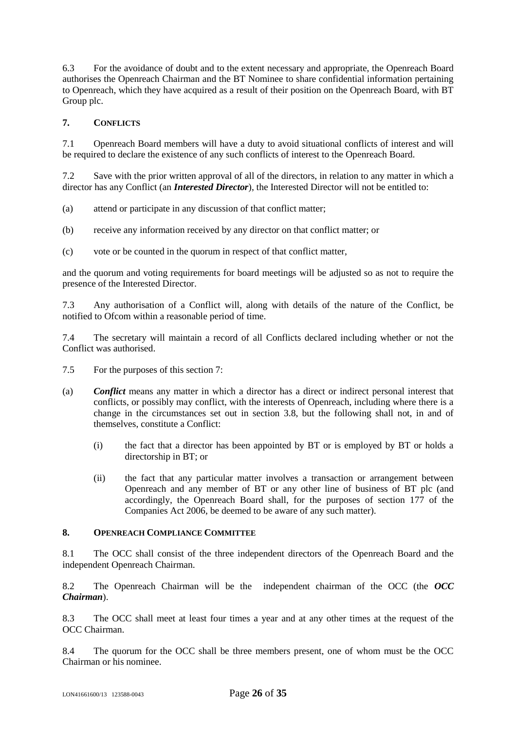6.3 For the avoidance of doubt and to the extent necessary and appropriate, the Openreach Board authorises the Openreach Chairman and the BT Nominee to share confidential information pertaining to Openreach, which they have acquired as a result of their position on the Openreach Board, with BT Group plc.

## <span id="page-25-0"></span>**7. CONFLICTS**

7.1 Openreach Board members will have a duty to avoid situational conflicts of interest and will be required to declare the existence of any such conflicts of interest to the Openreach Board.

7.2 Save with the prior written approval of all of the directors, in relation to any matter in which a director has any Conflict (an *Interested Director*), the Interested Director will not be entitled to:

- (a) attend or participate in any discussion of that conflict matter;
- (b) receive any information received by any director on that conflict matter; or
- (c) vote or be counted in the quorum in respect of that conflict matter,

and the quorum and voting requirements for board meetings will be adjusted so as not to require the presence of the Interested Director.

7.3 Any authorisation of a Conflict will, along with details of the nature of the Conflict, be notified to Ofcom within a reasonable period of time.

7.4 The secretary will maintain a record of all Conflicts declared including whether or not the Conflict was authorised.

- 7.5 For the purposes of this section7:
- (a) *Conflict* means any matter in which a director has a direct or indirect personal interest that conflicts, or possibly may conflict, with the interests of Openreach, including where there is a change in the circumstances set out in section 3.8, but the following shall not, in and of themselves, constitute a Conflict:
	- (i) the fact that a director has been appointed by BT or is employed by BT or holds a directorship in BT; or
	- (ii) the fact that any particular matter involves a transaction or arrangement between Openreach and any member of BT or any other line of business of BT plc (and accordingly, the Openreach Board shall, for the purposes of section 177 of the Companies Act 2006, be deemed to be aware of any such matter).

#### **8. OPENREACH COMPLIANCE COMMITTEE**

8.1 The OCC shall consist of the three independent directors of the Openreach Board and the independent Openreach Chairman.

8.2 The Openreach Chairman will be the independent chairman of the OCC (the *OCC Chairman*).

8.3 The OCC shall meet at least four times a year and at any other times at the request of the OCC Chairman.

8.4 The quorum for the OCC shall be three members present, one of whom must be the OCC Chairman or his nominee.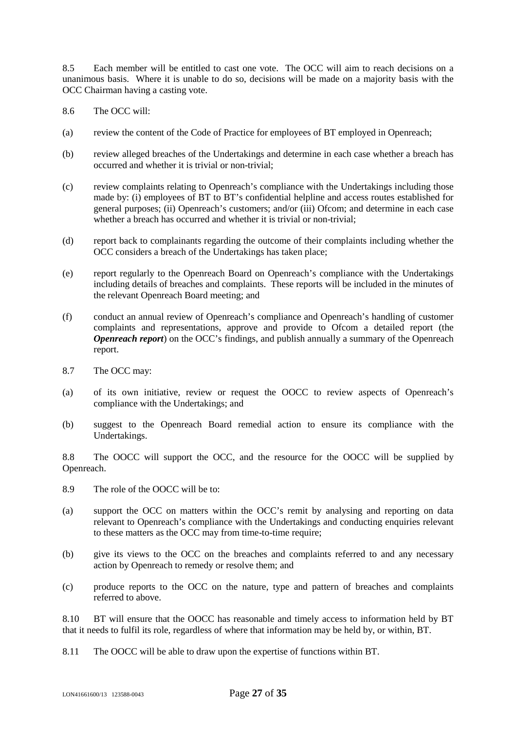8.5 Each member will be entitled to cast one vote. The OCC will aim to reach decisions on a unanimous basis. Where it is unable to do so, decisions will be made on a majority basis with the OCC Chairman having a casting vote.

- 8.6 The OCC will:
- (a) review the content of the Code of Practice for employees of BT employed in Openreach;
- (b) review alleged breaches of the Undertakings and determine in each case whether a breach has occurred and whether it is trivial or non-trivial;
- (c) review complaints relating to Openreach's compliance with the Undertakings including those made by: (i) employees of BT to BT's confidential helpline and access routes established for general purposes; (ii) Openreach's customers; and/or (iii) Ofcom; and determine in each case whether a breach has occurred and whether it is trivial or non-trivial:
- (d) report back to complainants regarding the outcome of their complaints including whether the OCC considers a breach of the Undertakings has taken place;
- (e) report regularly to the Openreach Board on Openreach's compliance with the Undertakings including details of breaches and complaints. These reports will be included in the minutes of the relevant Openreach Board meeting; and
- (f) conduct an annual review of Openreach's compliance and Openreach's handling of customer complaints and representations, approve and provide to Ofcom a detailed report (the *Openreach report*) on the OCC's findings, and publish annually a summary of the Openreach report.
- 8.7 The OCC may:
- (a) of its own initiative, review or request the OOCC to review aspects of Openreach's compliance with the Undertakings; and
- (b) suggest to the Openreach Board remedial action to ensure its compliance with the Undertakings.

8.8 The OOCC will support the OCC, and the resource for the OOCC will be supplied by Openreach.

- 8.9 The role of the OOCC will be to:
- (a) support the OCC on matters within the OCC's remit by analysing and reporting on data relevant to Openreach's compliance with the Undertakings and conducting enquiries relevant to these matters as the OCC may from time-to-time require;
- (b) give its views to the OCC on the breaches and complaints referred to and any necessary action by Openreach to remedy or resolve them; and
- (c) produce reports to the OCC on the nature, type and pattern of breaches and complaints referred to above.

8.10 BT will ensure that the OOCC has reasonable and timely access to information held by BT that it needs to fulfil its role, regardless of where that information may be held by, or within, BT.

8.11 The OOCC will be able to draw upon the expertise of functions within BT.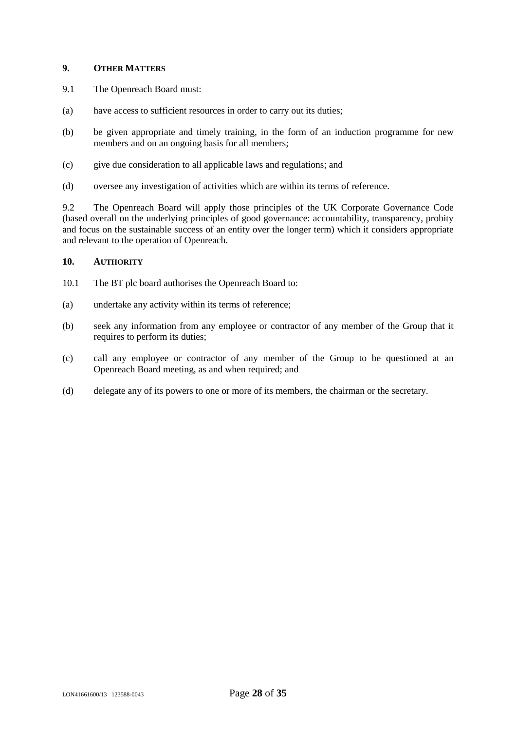#### **9. OTHER MATTERS**

- 9.1 The Openreach Board must:
- (a) have access to sufficient resources in order to carry out its duties;
- (b) be given appropriate and timely training, in the form of an induction programme for new members and on an ongoing basis for all members;
- (c) give due consideration to all applicable laws and regulations; and
- (d) oversee any investigation of activities which are within its terms of reference.

9.2 The Openreach Board will apply those principles of the UK Corporate Governance Code (based overall on the underlying principles of good governance: accountability, transparency, probity and focus on the sustainable success of an entity over the longer term) which it considers appropriate and relevant to the operation of Openreach.

## **10. AUTHORITY**

- 10.1 The BT plc board authorises the Openreach Board to:
- (a) undertake any activity within its terms of reference;
- (b) seek any information from any employee or contractor of any member of the Group that it requires to perform its duties;
- (c) call any employee or contractor of any member of the Group to be questioned at an Openreach Board meeting, as and when required; and
- (d) delegate any of its powers to one or more of its members, the chairman or the secretary.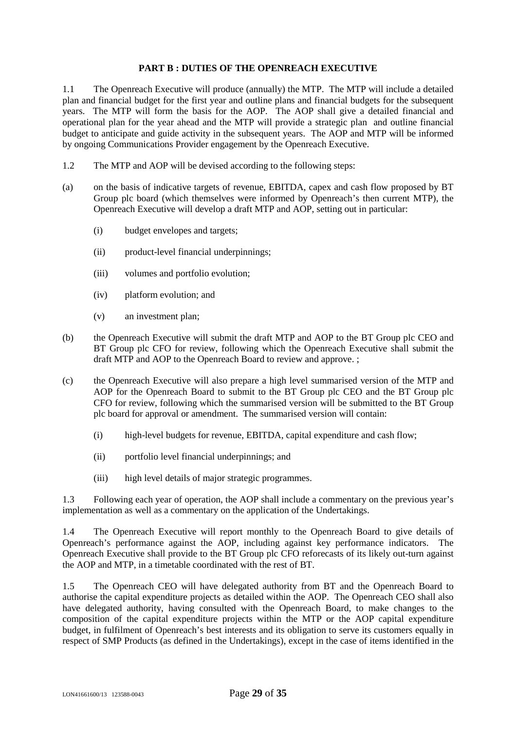#### <span id="page-28-0"></span>**PART B : DUTIES OF THE OPENREACH EXECUTIVE**

1.1 The Openreach Executive will produce (annually) the MTP. The MTP will include a detailed plan and financial budget for the first year and outline plans and financial budgets for the subsequent years. The MTP will form the basis for the AOP. The AOP shall give a detailed financial and operational plan for the year ahead and the MTP will provide a strategic plan and outline financial budget to anticipate and guide activity in the subsequent years. The AOP and MTP will be informed by ongoing Communications Provider engagement by the Openreach Executive.

- 1.2 The MTP and AOP will be devised according to the following steps:
- (a) on the basis of indicative targets of revenue, EBITDA, capex and cash flow proposed by BT Group plc board (which themselves were informed by Openreach's then current MTP), the Openreach Executive will develop a draft MTP and AOP, setting out in particular:
	- (i) budget envelopes and targets;
	- (ii) product-level financial underpinnings;
	- (iii) volumes and portfolio evolution;
	- (iv) platform evolution; and
	- (v) an investment plan;
- (b) the Openreach Executive will submit the draft MTP and AOP to the BT Group plc CEO and BT Group plc CFO for review, following which the Openreach Executive shall submit the draft MTP and AOP to the Openreach Board to review and approve. ;
- (c) the Openreach Executive will also prepare a high level summarised version of the MTP and AOP for the Openreach Board to submit to the BT Group plc CEO and the BT Group plc CFO for review, following which the summarised version will be submitted to the BT Group plc board for approval or amendment. The summarised version will contain:
	- (i) high-level budgets for revenue, EBITDA, capital expenditure and cash flow;
	- (ii) portfolio level financial underpinnings; and
	- (iii) high level details of major strategic programmes.

1.3 Following each year of operation, the AOP shall include a commentary on the previous year's implementation as well as a commentary on the application of the Undertakings.

1.4 The Openreach Executive will report monthly to the Openreach Board to give details of Openreach's performance against the AOP, including against key performance indicators. The Openreach Executive shall provide to the BT Group plc CFO reforecasts of its likely out-turn against the AOP and MTP, in a timetable coordinated with the rest of BT.

1.5 The Openreach CEO will have delegated authority from BT and the Openreach Board to authorise the capital expenditure projects as detailed within the AOP. The Openreach CEO shall also have delegated authority, having consulted with the Openreach Board, to make changes to the composition of the capital expenditure projects within the MTP or the AOP capital expenditure budget, in fulfilment of Openreach's best interests and its obligation to serve its customers equally in respect of SMP Products (as defined in the Undertakings), except in the case of items identified in the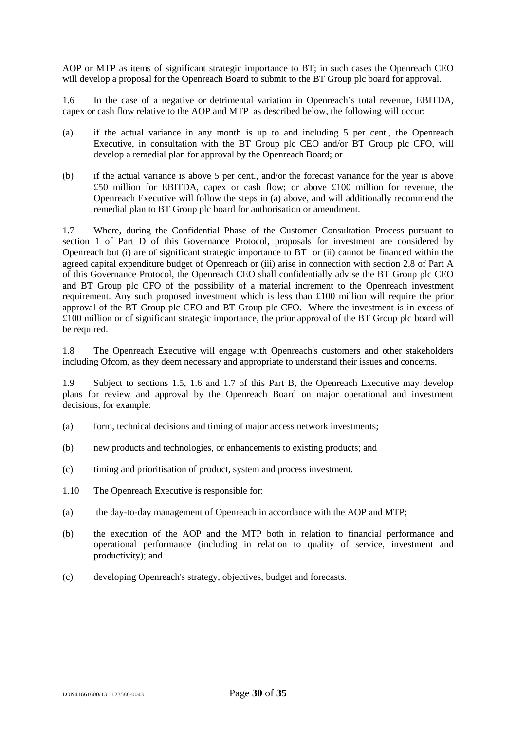AOP or MTP as items of significant strategic importance to BT; in such cases the Openreach CEO will develop a proposal for the Openreach Board to submit to the BT Group plc board for approval.

1.6 In the case of a negative or detrimental variation in Openreach's total revenue, EBITDA, capex or cash flow relative to the AOP and MTP as described below, the following will occur:

- (a) if the actual variance in any month is up to and including 5 per cent., the Openreach Executive, in consultation with the BT Group plc CEO and/or BT Group plc CFO, will develop a remedial plan for approval by the Openreach Board; or
- (b) if the actual variance is above 5 per cent., and/or the forecast variance for the year is above £50 million for EBITDA, capex or cash flow; or above £100 million for revenue, the Openreach Executive will follow the steps in (a) above, and will additionally recommend the remedial plan to BT Group plc board for authorisation or amendment.

1.7 Where, during the Confidential Phase of the Customer Consultation Process pursuant to section 1 of Part D of this Governance Protocol, proposals for investment are considered by Openreach but (i) are of significant strategic importance to BT or (ii) cannot be financed within the agreed capital expenditure budget of Openreach or (iii) arise in connection with section 2.8 of Part A of this Governance Protocol, the Openreach CEO shall confidentially advise the BT Group plc CEO and BT Group plc CFO of the possibility of a material increment to the Openreach investment requirement. Any such proposed investment which is less than £100 million will require the prior approval of the BT Group plc CEO and BT Group plc CFO. Where the investment is in excess of £100 million or of significant strategic importance, the prior approval of the BT Group plc board will be required.

1.8 The Openreach Executive will engage with Openreach's customers and other stakeholders including Ofcom, as they deem necessary and appropriate to understand their issues and concerns.

1.9 Subject to sections 1.5, 1.6 and 1.7 of this Part B, the Openreach Executive may develop plans for review and approval by the Openreach Board on major operational and investment decisions, for example:

- (a) form, technical decisions and timing of major access network investments;
- (b) new products and technologies, or enhancements to existing products; and
- (c) timing and prioritisation of product, system and process investment.
- 1.10 The Openreach Executive is responsible for:
- (a) the day-to-day management of Openreach in accordance with the AOP and MTP;
- (b) the execution of the AOP and the MTP both in relation to financial performance and operational performance (including in relation to quality of service, investment and productivity); and
- (c) developing Openreach's strategy, objectives, budget and forecasts.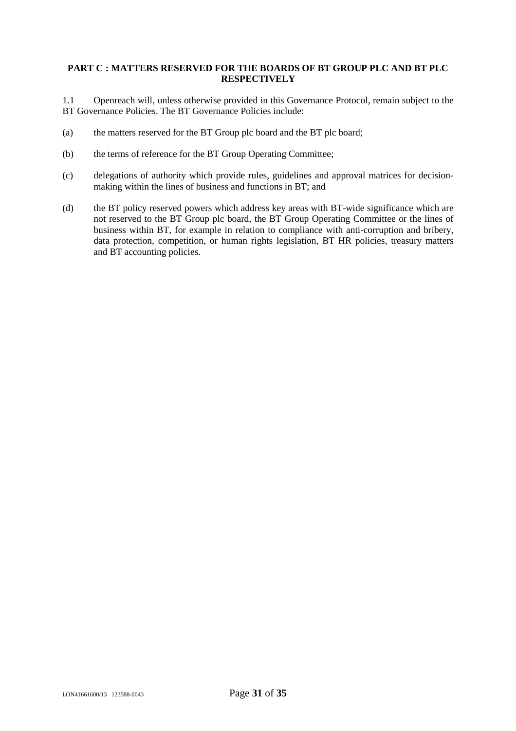#### <span id="page-30-0"></span>**PART C : MATTERS RESERVED FOR THE BOARDS OF BT GROUP PLC AND BT PLC RESPECTIVELY**

1.1 Openreach will, unless otherwise provided in this Governance Protocol, remain subject to the BT Governance Policies. The BT Governance Policies include:

- (a) the matters reserved for the BT Group plc board and the BT plc board;
- (b) the terms of reference for the BT Group Operating Committee;
- (c) delegations of authority which provide rules, guidelines and approval matrices for decisionmaking within the lines of business and functions in BT; and
- (d) the BT policy reserved powers which address key areas with BT-wide significance which are not reserved to the BT Group plc board, the BT Group Operating Committee or the lines of business within BT, for example in relation to compliance with anti-corruption and bribery, data protection, competition, or human rights legislation, BT HR policies, treasury matters and BT accounting policies.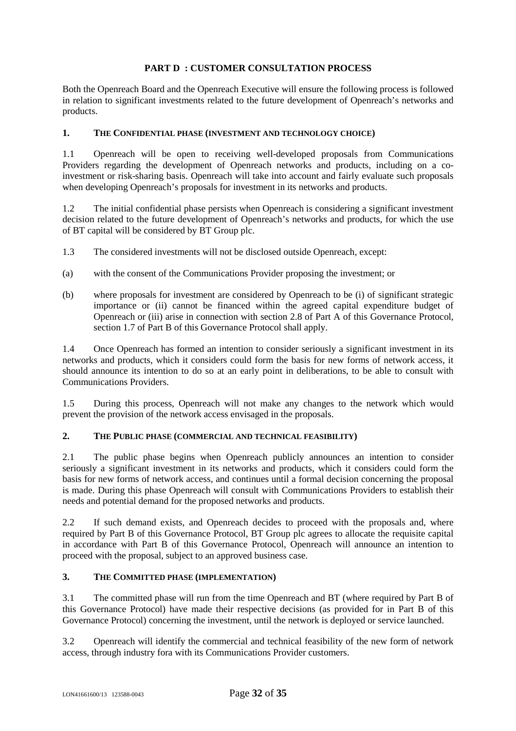## <span id="page-31-0"></span>**PART D : CUSTOMER CONSULTATION PROCESS**

Both the Openreach Board and the Openreach Executive will ensure the following process is followed in relation to significant investments related to the future development of Openreach's networks and products.

#### **1. THE CONFIDENTIAL PHASE (INVESTMENT AND TECHNOLOGY CHOICE)**

1.1 Openreach will be open to receiving well-developed proposals from Communications Providers regarding the development of Openreach networks and products, including on a coinvestment or risk-sharing basis. Openreach will take into account and fairly evaluate such proposals when developing Openreach's proposals for investment in its networks and products.

1.2 The initial confidential phase persists when Openreach is considering a significant investment decision related to the future development of Openreach's networks and products, for which the use of BT capital will be considered by BT Group plc.

- 1.3 The considered investments will not be disclosed outside Openreach, except:
- (a) with the consent of the Communications Provider proposing the investment; or
- (b) where proposals for investment are considered by Openreach to be (i) of significant strategic importance or (ii) cannot be financed within the agreed capital expenditure budget of Openreach or (iii) arise in connection with section 2.8 of Part A of this Governance Protocol, section 1.7 of Part B of this Governance Protocol shall apply.

1.4 Once Openreach has formed an intention to consider seriously a significant investment in its networks and products, which it considers could form the basis for new forms of network access, it should announce its intention to do so at an early point in deliberations, to be able to consult with Communications Providers.

1.5 During this process, Openreach will not make any changes to the network which would prevent the provision of the network access envisaged in the proposals.

#### **2. THE PUBLIC PHASE (COMMERCIAL AND TECHNICAL FEASIBILITY)**

2.1 The public phase begins when Openreach publicly announces an intention to consider seriously a significant investment in its networks and products, which it considers could form the basis for new forms of network access, and continues until a formal decision concerning the proposal is made. During this phase Openreach will consult with Communications Providers to establish their needs and potential demand for the proposed networks and products.

2.2 If such demand exists, and Openreach decides to proceed with the proposals and, where required by Part B of this Governance Protocol, BT Group plc agrees to allocate the requisite capital in accordance with Part B of this Governance Protocol, Openreach will announce an intention to proceed with the proposal, subject to an approved business case.

#### **3. THE COMMITTED PHASE (IMPLEMENTATION)**

3.1 The committed phase will run from the time Openreach and BT (where required by Part B of this Governance Protocol) have made their respective decisions (as provided for in Part B of this Governance Protocol) concerning the investment, until the network is deployed or service launched.

3.2 Openreach will identify the commercial and technical feasibility of the new form of network access, through industry fora with its Communications Provider customers.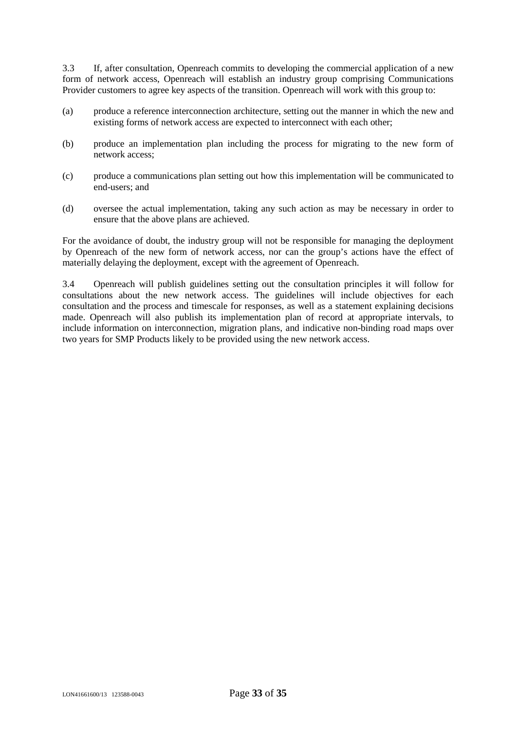3.3 If, after consultation, Openreach commits to developing the commercial application of a new form of network access, Openreach will establish an industry group comprising Communications Provider customers to agree key aspects of the transition. Openreach will work with this group to:

- (a) produce a reference interconnection architecture, setting out the manner in which the new and existing forms of network access are expected to interconnect with each other;
- (b) produce an implementation plan including the process for migrating to the new form of network access;
- (c) produce a communications plan setting out how this implementation will be communicated to end-users; and
- (d) oversee the actual implementation, taking any such action as may be necessary in order to ensure that the above plans are achieved.

For the avoidance of doubt, the industry group will not be responsible for managing the deployment by Openreach of the new form of network access, nor can the group's actions have the effect of materially delaying the deployment, except with the agreement of Openreach.

3.4 Openreach will publish guidelines setting out the consultation principles it will follow for consultations about the new network access. The guidelines will include objectives for each consultation and the process and timescale for responses, as well as a statement explaining decisions made. Openreach will also publish its implementation plan of record at appropriate intervals, to include information on interconnection, migration plans, and indicative non-binding road maps over two years for SMP Products likely to be provided using the new network access.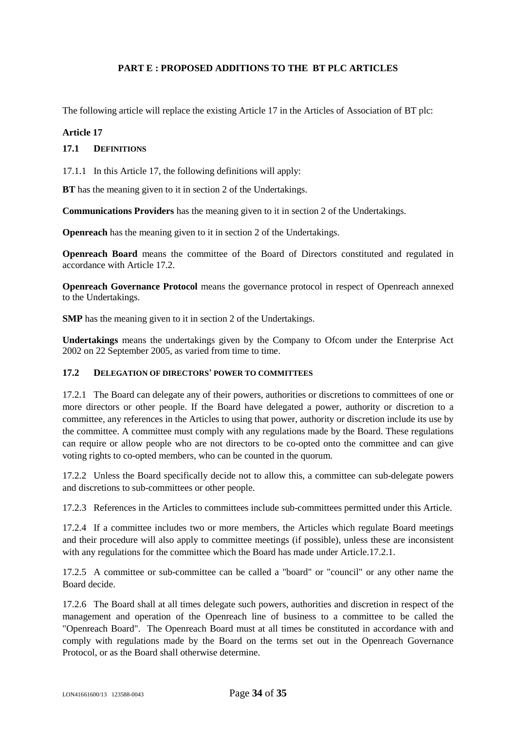## <span id="page-33-0"></span>**PART E : PROPOSED ADDITIONS TO THE BT PLC ARTICLES**

The following article will replace the existing Article 17 in the Articles of Association of BT plc:

#### **Article 17**

#### **17.1 DEFINITIONS**

17.1.1 In this Article 17, the following definitions will apply:

**BT** has the meaning given to it in section 2 of the Undertakings.

**Communications Providers** has the meaning given to it in section 2 of the Undertakings.

**Openreach** has the meaning given to it in section 2 of the Undertakings.

**Openreach Board** means the committee of the Board of Directors constituted and regulated in accordance with Article 17.2.

**Openreach Governance Protocol** means the governance protocol in respect of Openreach annexed to the Undertakings.

**SMP** has the meaning given to it in section 2 of the Undertakings.

**Undertakings** means the undertakings given by the Company to Ofcom under the Enterprise Act 2002 on 22 September 2005, as varied from time to time.

#### **17.2 DELEGATION OF DIRECTORS' POWER TO COMMITTEES**

17.2.1 The Board can delegate any of their powers, authorities or discretions to committees of one or more directors or other people. If the Board have delegated a power, authority or discretion to a committee, any references in the Articles to using that power, authority or discretion include its use by the committee. A committee must comply with any regulations made by the Board. These regulations can require or allow people who are not directors to be co-opted onto the committee and can give voting rights to co-opted members, who can be counted in the quorum.

<span id="page-33-1"></span>17.2.2 Unless the Board specifically decide not to allow this, a committee can sub-delegate powers and discretions to sub-committees or other people.

17.2.3 References in the Articles to committees include sub-committees permitted under this Article.

17.2.4 If a committee includes two or more members, the Articles which regulate Board meetings and their procedure will also apply to committee meetings (if possible), unless these are inconsistent with any regulations for the committee which the Board has made under Article.17.[2.1.](#page-33-1)

17.2.5 A committee or sub-committee can be called a "board" or "council" or any other name the Board decide.

17.2.6 The Board shall at all times delegate such powers, authorities and discretion in respect of the management and operation of the Openreach line of business to a committee to be called the "Openreach Board". The Openreach Board must at all times be constituted in accordance with and comply with regulations made by the Board on the terms set out in the Openreach Governance Protocol, or as the Board shall otherwise determine.